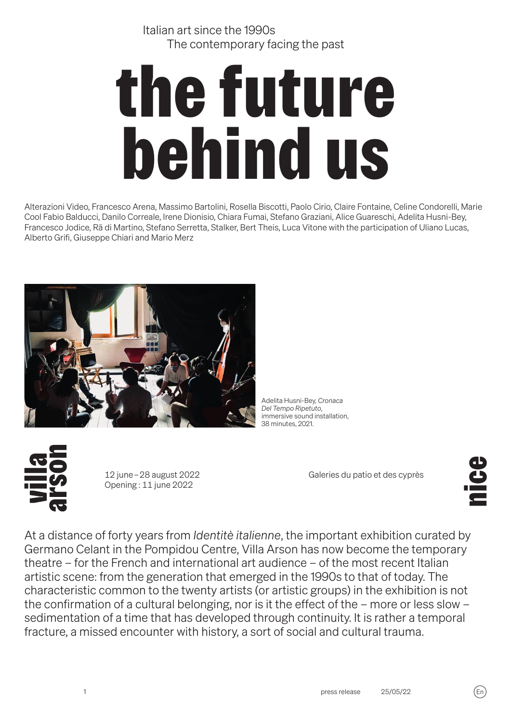Italian art since the 1990s The contemporary facing the past

# the future behind us

Alterazioni Video, Francesco Arena, Massimo Bartolini, Rosella Biscotti, Paolo Cirio, Claire Fontaine, Celine Condorelli, Marie Cool Fabio Balducci, Danilo Correale, Irene Dionisio, Chiara Fumai, Stefano Graziani, Alice Guareschi, Adelita Husni-Bey, Francesco Jodice, Rä di Martino, Stefano Serretta, Stalker, Bert Theis, Luca Vitone with the participation of Uliano Lucas, Alberto Grifi, Giuseppe Chiari and Mario Merz



Adelita Husni-Bey, *Cronaca Del Tempo Ripetuto*, immersive sound installation, 38 minutes, 2021.



�2 june – 28 august 2022 Opening : 11 june 2022

Galeries du patio et des cyprès

**Pali** 

At a distance of forty years from *Identitè italienne*, the important exhibition curated by Germano Celant in the Pompidou Centre, Villa Arson has now become the temporary theatre – for the French and international art audience – of the most recent Italian artistic scene: from the generation that emerged in the 1990s to that of today. The characteristic common to the twenty artists (or artistic groups) in the exhibition is not the confirmation of a cultural belonging, nor is it the effect of the – more or less slow – sedimentation of a time that has developed through continuity. It is rather a temporal fracture, a missed encounter with history, a sort of social and cultural trauma.